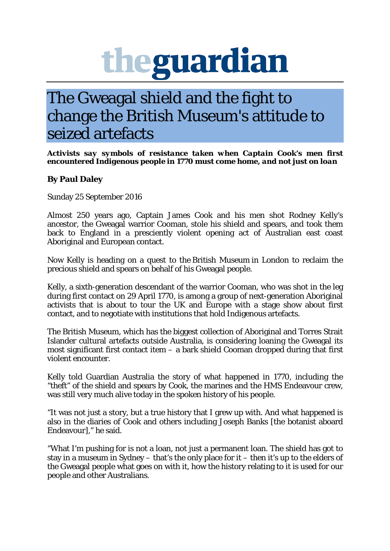## theguardian

## The Gweagal shield and the fight to change the British Museum's attitude to seized artefacts

*Activists say symbols of resistance taken when Captain Cook's men first encountered Indigenous people in 1770 must come home, and not just on loan*

## **By Paul Daley**

Sunday 25 September 2016

Almost 250 years ago, Captain James Cook and his men shot Rodney Kelly's ancestor, the Gweagal warrior Cooman, stole his shield and spears, and took them back to England in a presciently violent opening act of Australian east coast Aboriginal and European contact.

Now Kelly is heading on a quest to the British Museum in London to reclaim the precious shield and spears on behalf of his Gweagal people.

Kelly, a sixth-generation descendant of the warrior Cooman, who was shot in the leg during first contact on 29 April 1770, is among a group of next-generation Aboriginal activists that is about to tour the UK and Europe with a stage show about first contact, and to negotiate with institutions that hold Indigenous artefacts.

The British Museum, which has the biggest collection of Aboriginal and Torres Strait Islander cultural artefacts outside Australia, is considering loaning the Gweagal its most significant first contact item – a bark shield Cooman dropped during that first violent encounter.

Kelly told Guardian Australia the story of what happened in 1770, including the "theft" of the shield and spears by Cook, the marines and the HMS Endeavour crew, was still very much alive today in the spoken history of his people.

"It was not just a story, but a true history that I grew up with. And what happened is also in the diaries of Cook and others including Joseph Banks [the botanist aboard Endeavour]," he said.

"What I'm pushing for is not a loan, not just a permanent loan. The shield has got to stay in a museum in Sydney – that's the only place for it – then it's up to the elders of the Gweagal people what goes on with it, how the history relating to it is used for our people and other Australians.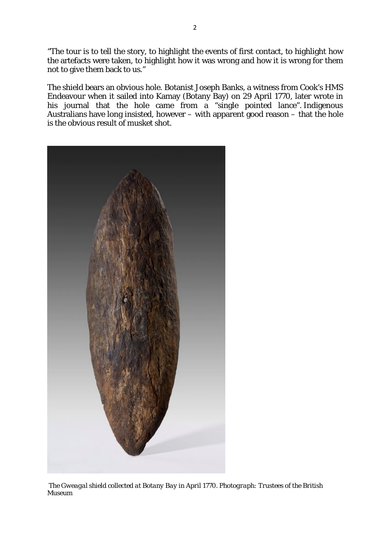"The tour is to tell the story, to highlight the events of first contact, to highlight how the artefacts were taken, to highlight how it was wrong and how it is wrong for them not to give them back to us."

The shield bears an obvious hole. Botanist Joseph Banks, a witness from Cook's HMS Endeavour when it sailed into Kamay (Botany Bay) on 29 April 1770, later wrote in his journal that the hole came from a "single pointed lance". Indigenous Australians have long insisted, however – with apparent good reason – that the hole is the obvious result of musket shot.



*The Gweagal shield collected at Botany Bay in April 1770. Photograph: Trustees of the British Museum*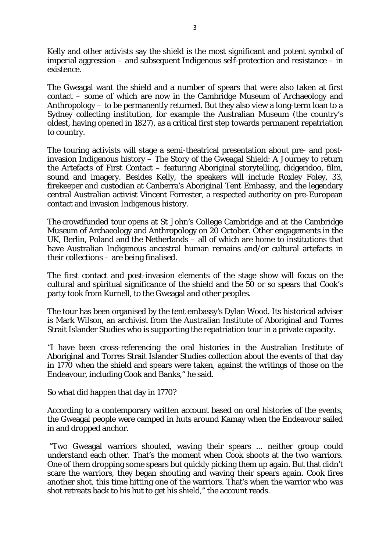Kelly and other activists say the shield is the most significant and potent symbol of imperial aggression – and subsequent Indigenous self-protection and resistance – in existence.

The Gweagal want the shield and a number of spears that were also taken at first contact – some of which are now in the Cambridge Museum of Archaeology and Anthropology – to be permanently returned. But they also view a long-term loan to a Sydney collecting institution, for example the Australian Museum (the country's oldest, having opened in 1827), as a critical first step towards permanent repatriation to country.

The touring activists will stage a semi-theatrical presentation about pre- and postinvasion Indigenous history – The Story of the Gweagal Shield: A Journey to return the Artefacts of First Contact – featuring Aboriginal storytelling, didgeridoo, film, sound and imagery. Besides Kelly, the speakers will include Roxley Foley, 33, firekeeper and custodian at Canberra's Aboriginal Tent Embassy, and the legendary central Australian activist Vincent Forrester, a respected authority on pre-European contact and invasion Indigenous history.

The crowdfunded tour opens at St John's College Cambridge and at the Cambridge Museum of Archaeology and Anthropology on 20 October. Other engagements in the UK, Berlin, Poland and the Netherlands – all of which are home to institutions that have Australian Indigenous ancestral human remains and/or cultural artefacts in their collections – are being finalised.

The first contact and post-invasion elements of the stage show will focus on the cultural and spiritual significance of the shield and the 50 or so spears that Cook's party took from Kurnell, to the Gweagal and other peoples.

The tour has been organised by the tent embassy's Dylan Wood. Its historical adviser is Mark Wilson, an archivist from the Australian Institute of Aboriginal and Torres Strait Islander Studies who is supporting the repatriation tour in a private capacity.

"I have been cross-referencing the oral histories in the Australian Institute of Aboriginal and Torres Strait Islander Studies collection about the events of that day in 1770 when the shield and spears were taken, against the writings of those on the Endeavour, including Cook and Banks," he said.

So what did happen that day in 1770?

According to a contemporary written account based on oral histories of the events, the Gweagal people were camped in huts around Kamay when the Endeavour sailed in and dropped anchor.

"Two Gweagal warriors shouted, waving their spears ... neither group could understand each other. That's the moment when Cook shoots at the two warriors. One of them dropping some spears but quickly picking them up again. But that didn't scare the warriors, they began shouting and waving their spears again. Cook fires another shot, this time hitting one of the warriors. That's when the warrior who was shot retreats back to his hut to get his shield," the account reads.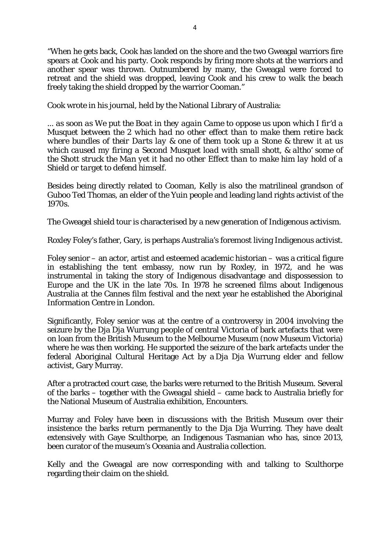"When he gets back, Cook has landed on the shore and the two Gweagal warriors fire spears at Cook and his party. Cook responds by firing more shots at the warriors and another spear was thrown. Outnumbered by many, the Gweagal were forced to retreat and the shield was dropped, leaving Cook and his crew to walk the beach freely taking the shield dropped by the warrior Cooman."

Cook wrote in his journal, held by the National Library of Australia:

*... as soon as We put the Boat in they again Came to oppose us upon which I fir'd a Musquet between the 2 which had no other effect than to make them retire back where bundles of their Darts lay & one of them took up a Stone & threw it at us which caused my firing a Second Musquet load with small shott, & altho' some of the Shott struck the Man yet it had no other Effect than to make him lay hold of a Shield or target to defend himself.*

Besides being directly related to Cooman, Kelly is also the matrilineal grandson of Guboo Ted Thomas, an elder of the Yuin people and leading land rights activist of the 1970s.

The Gweagel shield tour is characterised by a new generation of Indigenous activism.

Roxley Foley's father, Gary, is perhaps Australia's foremost living Indigenous activist.

Foley senior – [an actor, artist and esteemed academic historian](http://www.kooriweb.org/foley/whoisgf/who_is_he.html) – was a critical figure in establishing the tent embassy, now run by Roxley, in 1972, and he was instrumental in taking the story of Indigenous disadvantage and dispossession to Europe and the UK in the late 70s. In 1978 he screened films about Indigenous Australia at the Cannes film festival and the next year he established the Aboriginal Information Centre in London.

Significantly, Foley senior was at the centre of a controversy in 2004 involving the seizure by the Dja Dja Wurrung people of central Victoria of bark artefacts that were on loan from the British Museum to the Melbourne Museum (now Museum Victoria) where he was then working. He supported the seizure of the bark artefacts under the federal Aboriginal Cultural Heritage Act by a Dja Dja Wurrung elder and fellow activist, Gary Murray.

After a protracted court case, the barks were returned to the British Museum. Several of the barks – together with the Gweagal shield – came back to Australia briefly for the National Museum of Australia exhibition, Encounters.

Murray and Foley have been in discussions with the British Museum over their insistence the barks return permanently to the Dja Dja Wurring. They have dealt extensively with Gaye Sculthorpe, an Indigenous Tasmanian who has, since 2013, been curator of the museum's Oceania and Australia collection.

Kelly and the Gweagal are now corresponding with and talking to Sculthorpe regarding their claim on the shield.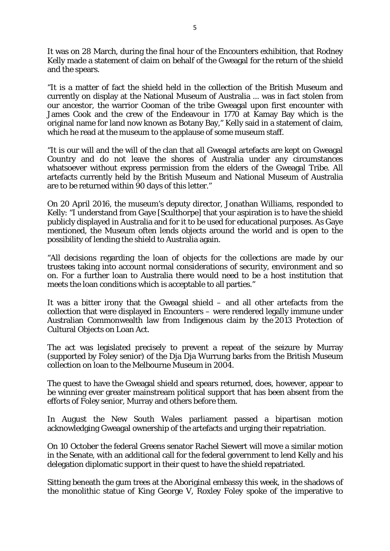It was on 28 March, during the final hour of the Encounters exhibition, that Rodney Kelly made a statement of claim on behalf of the Gweagal for the return of the shield and the spears.

"It is a matter of fact the shield held in the collection of the British Museum and currently on display at the National Museum of Australia ... was in fact stolen from our ancestor, the warrior Cooman of the tribe Gweagal upon first encounter with James Cook and the crew of the Endeavour in 1770 at Kamay Bay which is the original name for land now known as Botany Bay," Kelly said in a statement of claim, which he read at the museum to the applause of some museum staff.

"It is our will and the will of the clan that all Gweagal artefacts are kept on Gweagal Country and do not leave the shores of Australia under any circumstances whatsoever without express permission from the elders of the Gweagal Tribe. All artefacts currently held by the British Museum and National Museum of Australia are to be returned within 90 days of this letter."

On 20 April 2016, the museum's deputy director, Jonathan Williams, responded to Kelly: "I understand from Gaye [Sculthorpe] that your aspiration is to have the shield publicly displayed in Australia and for it to be used for educational purposes. As Gaye mentioned, the Museum often lends objects around the world and is open to the possibility of lending the shield to Australia again.

"All decisions regarding the loan of objects for the collections are made by our trustees taking into account normal considerations of security, environment and so on. For a further loan to Australia there would need to be a host institution that meets the loan conditions which is acceptable to all parties."

It was a bitter irony that the Gweagal shield – and all other artefacts from the collection that were displayed in Encounters – were rendered legally immune under Australian Commonwealth law from Indigenous claim by the 2013 Protection of Cultural Objects on Loan Act.

The act was legislated precisely to prevent a repeat of the seizure by Murray (supported by Foley senior) of the Dja Dja Wurrung barks from the British Museum collection on loan to the Melbourne Museum in 2004.

The quest to have the Gweagal shield and spears returned, does, however, appear to be winning ever greater mainstream political support that has been absent from the efforts of Foley senior, Murray and others before them.

In August the New South Wales parliament passed a bipartisan motion acknowledging Gweagal ownership of the artefacts and urging their repatriation.

On 10 October the federal Greens senator Rachel Siewert will move a similar motion in the Senate, with an additional call for the federal government to lend Kelly and his delegation diplomatic support in their quest to have the shield repatriated.

Sitting beneath the gum trees at the Aboriginal embassy this week, in the shadows of the monolithic statue of King George V, Roxley Foley spoke of the imperative to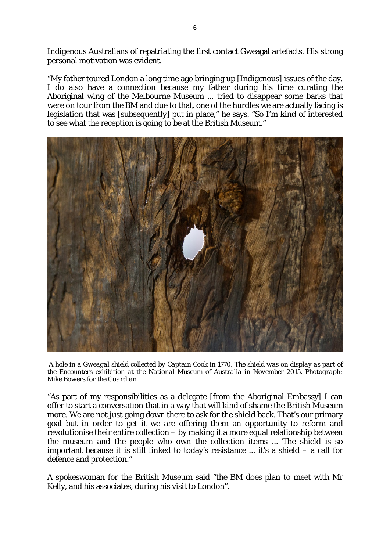Indigenous Australians of repatriating the first contact Gweagal artefacts. His strong personal motivation was evident.

"My father toured London a long time ago bringing up [Indigenous] issues of the day. I do also have a connection because my father during his time curating the Aboriginal wing of the Melbourne Museum ... tried to disappear some barks that were on tour from the BM and due to that, one of the hurdles we are actually facing is legislation that was [subsequently] put in place," he says. "So I'm kind of interested to see what the reception is going to be at the British Museum."



*A hole in a Gweagal shield collected by Captain Cook in 1770. The shield was on display as part of the Encounters exhibition at the National Museum of Australia in November 2015. Photograph: Mike Bowers for the Guardian*

"As part of my responsibilities as a delegate [from the Aboriginal Embassy] I can offer to start a conversation that in a way that will kind of shame the British Museum more. We are not just going down there to ask for the shield back. That's our primary goal but in order to get it we are offering them an opportunity to reform and revolutionise their entire collection – by making it a more equal relationship between the museum and the people who own the collection items ... The shield is so important because it is still linked to today's resistance ... it's a shield – a call for defence and protection."

A spokeswoman for the British Museum said "the BM does plan to meet with Mr Kelly, and his associates, during his visit to London".